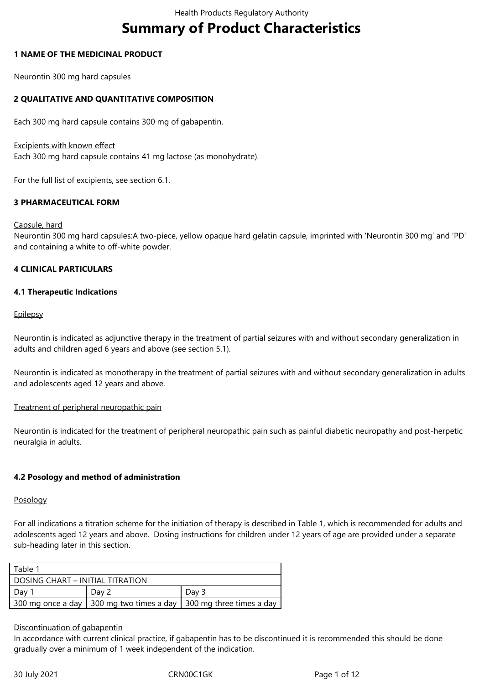# **Summary of Product Characteristics**

#### **1 NAME OF THE MEDICINAL PRODUCT**

Neurontin 300 mg hard capsules

# **2 QUALITATIVE AND QUANTITATIVE COMPOSITION**

Each 300 mg hard capsule contains 300 mg of gabapentin.

#### Excipients with known effect

Each 300 mg hard capsule contains 41 mg lactose (as monohydrate).

For the full list of excipients, see section 6.1.

# **3 PHARMACEUTICAL FORM**

#### Capsule, hard

Neurontin 300 mg hard capsules:A two-piece, yellow opaque hard gelatin capsule, imprinted with 'Neurontin 300 mg' and 'PD' and containing a white to off-white powder.

# **4 CLINICAL PARTICULARS**

# **4.1 Therapeutic Indications**

#### **Epilepsy**

Neurontin is indicated as adjunctive therapy in the treatment of partial seizures with and without secondary generalization in adults and children aged 6 years and above (see section 5.1).

Neurontin is indicated as monotherapy in the treatment of partial seizures with and without secondary generalization in adults and adolescents aged 12 years and above.

#### Treatment of peripheral neuropathic pain

Neurontin is indicated for the treatment of peripheral neuropathic pain such as painful diabetic neuropathy and post-herpetic neuralgia in adults.

# **4.2 Posology and method of administration**

#### Posology

For all indications a titration scheme for the initiation of therapy is described in Table 1, which is recommended for adults and adolescents aged 12 years and above. Dosing instructions for children under 12 years of age are provided under a separate sub-heading later in this section.

| Table 1                          |                                            |                          |  |  |
|----------------------------------|--------------------------------------------|--------------------------|--|--|
| DOSING CHART – INITIAL TITRATION |                                            |                          |  |  |
| Day 2<br>Day 1                   |                                            | Day 3                    |  |  |
|                                  | 300 mg once a day   300 mg two times a day | 300 mg three times a day |  |  |

#### Discontinuation of gabapentin

In accordance with current clinical practice, if gabapentin has to be discontinued it is recommended this should be done gradually over a minimum of 1 week independent of the indication.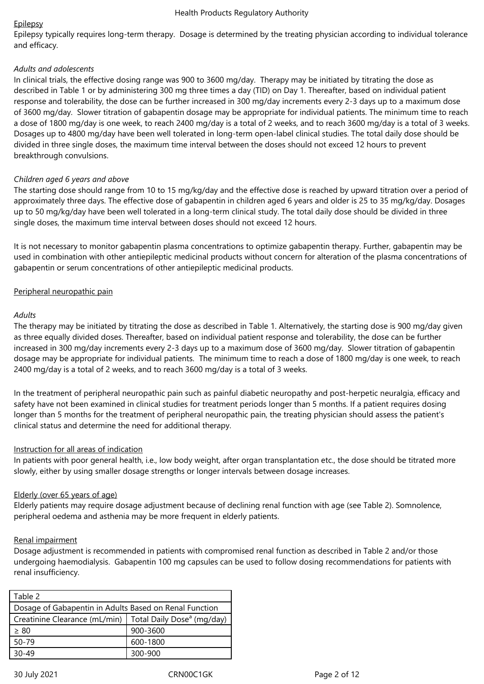# Epilepsy

Epilepsy typically requires long-term therapy. Dosage is determined by the treating physician according to individual tolerance and efficacy.

# *Adults and adolescents*

In clinical trials, the effective dosing range was 900 to 3600 mg/day. Therapy may be initiated by titrating the dose as described in Table 1 or by administering 300 mg three times a day (TID) on Day 1. Thereafter, based on individual patient response and tolerability, the dose can be further increased in 300 mg/day increments every 2-3 days up to a maximum dose of 3600 mg/day. Slower titration of gabapentin dosage may be appropriate for individual patients. The minimum time to reach a dose of 1800 mg/day is one week, to reach 2400 mg/day is a total of 2 weeks, and to reach 3600 mg/day is a total of 3 weeks. Dosages up to 4800 mg/day have been well tolerated in long-term open-label clinical studies. The total daily dose should be divided in three single doses, the maximum time interval between the doses should not exceed 12 hours to prevent breakthrough convulsions.

# *Children aged 6 years and above*

The starting dose should range from 10 to 15 mg/kg/day and the effective dose is reached by upward titration over a period of approximately three days. The effective dose of gabapentin in children aged 6 years and older is 25 to 35 mg/kg/day. Dosages up to 50 mg/kg/day have been well tolerated in a long-term clinical study. The total daily dose should be divided in three single doses, the maximum time interval between doses should not exceed 12 hours.

It is not necessary to monitor gabapentin plasma concentrations to optimize gabapentin therapy. Further, gabapentin may be used in combination with other antiepileptic medicinal products without concern for alteration of the plasma concentrations of gabapentin or serum concentrations of other antiepileptic medicinal products.

# Peripheral neuropathic pain

# *Adults*

The therapy may be initiated by titrating the dose as described in Table 1. Alternatively, the starting dose is 900 mg/day given as three equally divided doses. Thereafter, based on individual patient response and tolerability, the dose can be further increased in 300 mg/day increments every 2-3 days up to a maximum dose of 3600 mg/day. Slower titration of gabapentin dosage may be appropriate for individual patients. The minimum time to reach a dose of 1800 mg/day is one week, to reach 2400 mg/day is a total of 2 weeks, and to reach 3600 mg/day is a total of 3 weeks.

In the treatment of peripheral neuropathic pain such as painful diabetic neuropathy and post-herpetic neuralgia, efficacy and safety have not been examined in clinical studies for treatment periods longer than 5 months. If a patient requires dosing longer than 5 months for the treatment of peripheral neuropathic pain, the treating physician should assess the patient's clinical status and determine the need for additional therapy.

# Instruction for all areas of indication

In patients with poor general health, i.e., low body weight, after organ transplantation etc., the dose should be titrated more slowly, either by using smaller dosage strengths or longer intervals between dosage increases.

# Elderly (over 65 years of age)

Elderly patients may require dosage adjustment because of declining renal function with age (see Table 2). Somnolence, peripheral oedema and asthenia may be more frequent in elderly patients.

# Renal impairment

Dosage adjustment is recommended in patients with compromised renal function as described in Table 2 and/or those undergoing haemodialysis. Gabapentin 100 mg capsules can be used to follow dosing recommendations for patients with renal insufficiency.

| Table 2                                                |                                        |  |
|--------------------------------------------------------|----------------------------------------|--|
| Dosage of Gabapentin in Adults Based on Renal Function |                                        |  |
| Creatinine Clearance (mL/min)                          | Total Daily Dose <sup>a</sup> (mg/day) |  |
| $\geq 80$                                              | 900-3600                               |  |
| $50 - 79$                                              | 600-1800                               |  |
| 30-49                                                  | 300-900                                |  |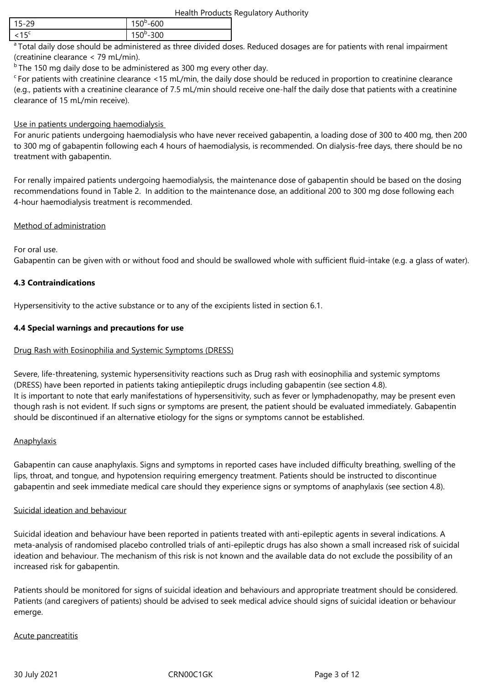| Health Products Regulatory Authority |
|--------------------------------------|
|--------------------------------------|

| 5-29 | 600<br>.<br>. J |
|------|-----------------|
| $-$  | $\Omega$        |
| ା>`  | ◡◡              |

<sup>a</sup> Total daily dose should be administered as three divided doses. Reduced dosages are for patients with renal impairment (creatinine clearance < 79 mL/min).

 $<sup>b</sup>$  The 150 mg daily dose to be administered as 300 mg every other day.</sup>

 $c_F$  For patients with creatinine clearance <15 mL/min, the daily dose should be reduced in proportion to creatinine clearance (e.g., patients with a creatinine clearance of 7.5 mL/min should receive one-half the daily dose that patients with a creatinine clearance of 15 mL/min receive).

# Use in patients undergoing haemodialysis

For anuric patients undergoing haemodialysis who have never received gabapentin, a loading dose of 300 to 400 mg, then 200 to 300 mg of gabapentin following each 4 hours of haemodialysis, is recommended. On dialysis-free days, there should be no treatment with gabapentin.

For renally impaired patients undergoing haemodialysis, the maintenance dose of gabapentin should be based on the dosing recommendations found in Table 2. In addition to the maintenance dose, an additional 200 to 300 mg dose following each 4-hour haemodialysis treatment is recommended.

# Method of administration

For oral use.

Gabapentin can be given with or without food and should be swallowed whole with sufficient fluid-intake (e.g. a glass of water).

# **4.3 Contraindications**

Hypersensitivity to the active substance or to any of the excipients listed in section 6.1.

# **4.4 Special warnings and precautions for use**

# Drug Rash with Eosinophilia and Systemic Symptoms (DRESS)

Severe, life-threatening, systemic hypersensitivity reactions such as Drug rash with eosinophilia and systemic symptoms (DRESS) have been reported in patients taking antiepileptic drugs including gabapentin (see section 4.8). It is important to note that early manifestations of hypersensitivity, such as fever or lymphadenopathy, may be present even though rash is not evident. If such signs or symptoms are present, the patient should be evaluated immediately. Gabapentin should be discontinued if an alternative etiology for the signs or symptoms cannot be established.

# **Anaphylaxis**

Gabapentin can cause anaphylaxis. Signs and symptoms in reported cases have included difficulty breathing, swelling of the lips, throat, and tongue, and hypotension requiring emergency treatment. Patients should be instructed to discontinue gabapentin and seek immediate medical care should they experience signs or symptoms of anaphylaxis (see section 4.8).

# Suicidal ideation and behaviour

Suicidal ideation and behaviour have been reported in patients treated with anti-epileptic agents in several indications. A meta-analysis of randomised placebo controlled trials of anti-epileptic drugs has also shown a small increased risk of suicidal ideation and behaviour. The mechanism of this risk is not known and the available data do not exclude the possibility of an increased risk for gabapentin.

Patients should be monitored for signs of suicidal ideation and behaviours and appropriate treatment should be considered. Patients (and caregivers of patients) should be advised to seek medical advice should signs of suicidal ideation or behaviour emerge.

# Acute pancreatitis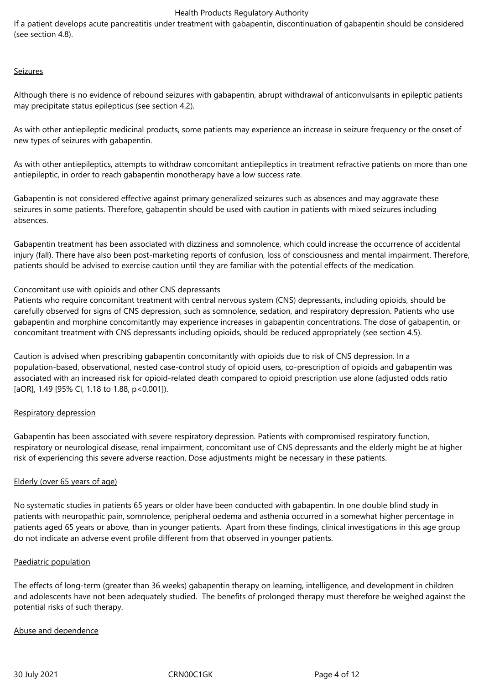If a patient develops acute pancreatitis under treatment with gabapentin, discontinuation of gabapentin should be considered (see section 4.8).

#### Seizures

Although there is no evidence of rebound seizures with gabapentin, abrupt withdrawal of anticonvulsants in epileptic patients may precipitate status epilepticus (see section 4.2).

As with other antiepileptic medicinal products, some patients may experience an increase in seizure frequency or the onset of new types of seizures with gabapentin.

As with other antiepileptics, attempts to withdraw concomitant antiepileptics in treatment refractive patients on more than one antiepileptic, in order to reach gabapentin monotherapy have a low success rate.

Gabapentin is not considered effective against primary generalized seizures such as absences and may aggravate these seizures in some patients. Therefore, gabapentin should be used with caution in patients with mixed seizures including absences.

Gabapentin treatment has been associated with dizziness and somnolence, which could increase the occurrence of accidental injury (fall). There have also been post-marketing reports of confusion, loss of consciousness and mental impairment. Therefore, patients should be advised to exercise caution until they are familiar with the potential effects of the medication.

# Concomitant use with opioids and other CNS depressants

Patients who require concomitant treatment with central nervous system (CNS) depressants, including opioids, should be carefully observed for signs of CNS depression, such as somnolence, sedation, and respiratory depression. Patients who use gabapentin and morphine concomitantly may experience increases in gabapentin concentrations. The dose of gabapentin, or concomitant treatment with CNS depressants including opioids, should be reduced appropriately (see section 4.5).

Caution is advised when prescribing gabapentin concomitantly with opioids due to risk of CNS depression. In a population-based, observational, nested case-control study of opioid users, co‑prescription of opioids and gabapentin was associated with an increased risk for opioid-related death compared to opioid prescription use alone (adjusted odds ratio [aOR], 1.49 [95% CI, 1.18 to 1.88, p<0.001]).

# Respiratory depression

Gabapentin has been associated with severe respiratory depression. Patients with compromised respiratory function, respiratory or neurological disease, renal impairment, concomitant use of CNS depressants and the elderly might be at higher risk of experiencing this severe adverse reaction. Dose adjustments might be necessary in these patients.

#### Elderly (over 65 years of age)

No systematic studies in patients 65 years or older have been conducted with gabapentin. In one double blind study in patients with neuropathic pain, somnolence, peripheral oedema and asthenia occurred in a somewhat higher percentage in patients aged 65 years or above, than in younger patients. Apart from these findings, clinical investigations in this age group do not indicate an adverse event profile different from that observed in younger patients.

#### Paediatric population

The effects of long-term (greater than 36 weeks) gabapentin therapy on learning, intelligence, and development in children and adolescents have not been adequately studied. The benefits of prolonged therapy must therefore be weighed against the potential risks of such therapy.

#### Abuse and dependence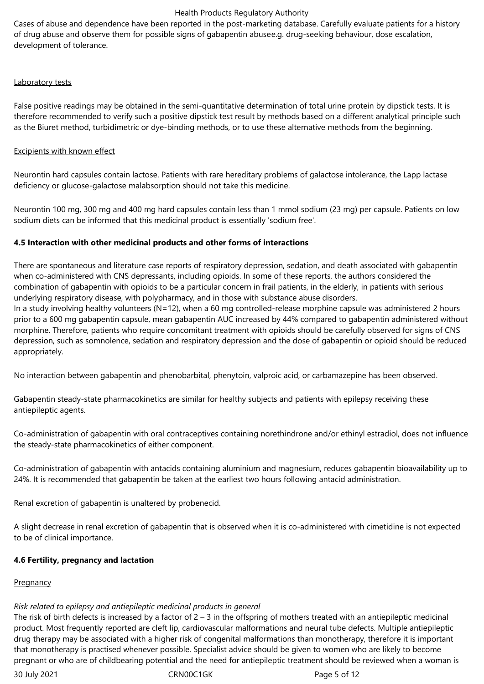Cases of abuse and dependence have been reported in the post-marketing database. Carefully evaluate patients for a history of drug abuse and observe them for possible signs of gabapentin abusee.g. drug-seeking behaviour, dose escalation, development of tolerance.

# Laboratory tests

False positive readings may be obtained in the semi-quantitative determination of total urine protein by dipstick tests. It is therefore recommended to verify such a positive dipstick test result by methods based on a different analytical principle such as the Biuret method, turbidimetric or dye-binding methods, or to use these alternative methods from the beginning.

#### Excipients with known effect

Neurontin hard capsules contain lactose. Patients with rare hereditary problems of galactose intolerance, the Lapp lactase deficiency or glucose-galactose malabsorption should not take this medicine.

Neurontin 100 mg, 300 mg and 400 mg hard capsules contain less than 1 mmol sodium (23 mg) per capsule. Patients on low sodium diets can be informed that this medicinal product is essentially 'sodium free'.

# **4.5 Interaction with other medicinal products and other forms of interactions**

There are spontaneous and literature case reports of respiratory depression, sedation, and death associated with gabapentin when co-administered with CNS depressants, including opioids. In some of these reports, the authors considered the combination of gabapentin with opioids to be a particular concern in frail patients, in the elderly, in patients with serious underlying respiratory disease, with polypharmacy, and in those with substance abuse disorders. In a study involving healthy volunteers (N=12), when a 60 mg controlled-release morphine capsule was administered 2 hours

prior to a 600 mg gabapentin capsule, mean gabapentin AUC increased by 44% compared to gabapentin administered without morphine. Therefore, patients who require concomitant treatment with opioids should be carefully observed for signs of CNS depression, such as somnolence, sedation and respiratory depression and the dose of gabapentin or opioid should be reduced appropriately.

No interaction between gabapentin and phenobarbital, phenytoin, valproic acid, or carbamazepine has been observed.

Gabapentin steady-state pharmacokinetics are similar for healthy subjects and patients with epilepsy receiving these antiepileptic agents.

Co-administration of gabapentin with oral contraceptives containing norethindrone and/or ethinyl estradiol, does not influence the steady-state pharmacokinetics of either component.

Co-administration of gabapentin with antacids containing aluminium and magnesium, reduces gabapentin bioavailability up to 24%. It is recommended that gabapentin be taken at the earliest two hours following antacid administration.

Renal excretion of gabapentin is unaltered by probenecid.

A slight decrease in renal excretion of gabapentin that is observed when it is co-administered with cimetidine is not expected to be of clinical importance.

# **4.6 Fertility, pregnancy and lactation**

# **Pregnancy**

# *Risk related to epilepsy and antiepileptic medicinal products in general*

The risk of birth defects is increased by a factor of  $2 - 3$  in the offspring of mothers treated with an antiepileptic medicinal product. Most frequently reported are cleft lip, cardiovascular malformations and neural tube defects. Multiple antiepileptic drug therapy may be associated with a higher risk of congenital malformations than monotherapy, therefore it is important that monotherapy is practised whenever possible. Specialist advice should be given to women who are likely to become pregnant or who are of childbearing potential and the need for antiepileptic treatment should be reviewed when a woman is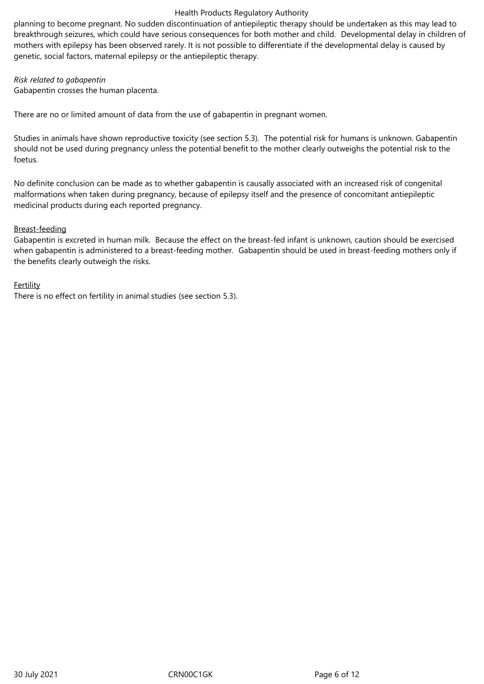planning to become pregnant. No sudden discontinuation of antiepileptic therapy should be undertaken as this may lead to breakthrough seizures, which could have serious consequences for both mother and child. Developmental delay in children of mothers with epilepsy has been observed rarely. It is not possible to differentiate if the developmental delay is caused by genetic, social factors, maternal epilepsy or the antiepileptic therapy.

#### *Risk related to gabapentin*

Gabapentin crosses the human placenta.

There are no or limited amount of data from the use of gabapentin in pregnant women.

Studies in animals have shown reproductive toxicity (see section 5.3). The potential risk for humans is unknown. Gabapentin should not be used during pregnancy unless the potential benefit to the mother clearly outweighs the potential risk to the foetus.

No definite conclusion can be made as to whether gabapentin is causally associated with an increased risk of congenital malformations when taken during pregnancy, because of epilepsy itself and the presence of concomitant antiepileptic medicinal products during each reported pregnancy.

# Breast-feeding

Gabapentin is excreted in human milk. Because the effect on the breast-fed infant is unknown, caution should be exercised when gabapentin is administered to a breast-feeding mother. Gabapentin should be used in breast-feeding mothers only if the benefits clearly outweigh the risks.

# Fertility

There is no effect on fertility in animal studies (see section 5.3).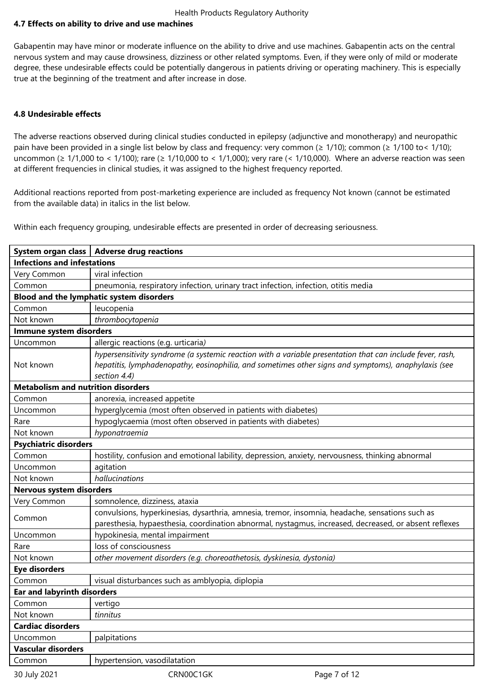# **4.7 Effects on ability to drive and use machines**

Gabapentin may have minor or moderate influence on the ability to drive and use machines. Gabapentin acts on the central nervous system and may cause drowsiness, dizziness or other related symptoms. Even, if they were only of mild or moderate degree, these undesirable effects could be potentially dangerous in patients driving or operating machinery. This is especially true at the beginning of the treatment and after increase in dose.

#### **4.8 Undesirable effects**

The adverse reactions observed during clinical studies conducted in epilepsy (adjunctive and monotherapy) and neuropathic pain have been provided in a single list below by class and frequency: very common ( $\geq 1/10$ ); common ( $\geq 1/100$  to < 1/10); uncommon (≥ 1/1,000 to < 1/100); rare (≥ 1/10,000 to < 1/1,000); very rare (< 1/10,000). Where an adverse reaction was seen at different frequencies in clinical studies, it was assigned to the highest frequency reported.

Additional reactions reported from post-marketing experience are included as frequency Not known (cannot be estimated from the available data) in italics in the list below.

Within each frequency grouping, undesirable effects are presented in order of decreasing seriousness.

|                                           | System organ class   Adverse drug reactions                                                                                                                                                                                      |  |  |  |
|-------------------------------------------|----------------------------------------------------------------------------------------------------------------------------------------------------------------------------------------------------------------------------------|--|--|--|
| <b>Infections and infestations</b>        |                                                                                                                                                                                                                                  |  |  |  |
| Very Common                               | viral infection                                                                                                                                                                                                                  |  |  |  |
| Common                                    | pneumonia, respiratory infection, urinary tract infection, infection, otitis media                                                                                                                                               |  |  |  |
|                                           | Blood and the lymphatic system disorders                                                                                                                                                                                         |  |  |  |
| Common                                    | leucopenia                                                                                                                                                                                                                       |  |  |  |
| Not known                                 | thrombocytopenia                                                                                                                                                                                                                 |  |  |  |
| Immune system disorders                   |                                                                                                                                                                                                                                  |  |  |  |
| Uncommon                                  | allergic reactions (e.g. urticaria)                                                                                                                                                                                              |  |  |  |
| Not known                                 | hypersensitivity syndrome (a systemic reaction with a variable presentation that can include fever, rash,<br>hepatitis, lymphadenopathy, eosinophilia, and sometimes other signs and symptoms), anaphylaxis (see<br>section 4.4) |  |  |  |
| <b>Metabolism and nutrition disorders</b> |                                                                                                                                                                                                                                  |  |  |  |
| Common                                    | anorexia, increased appetite                                                                                                                                                                                                     |  |  |  |
| Uncommon                                  | hyperglycemia (most often observed in patients with diabetes)                                                                                                                                                                    |  |  |  |
| Rare                                      | hypoglycaemia (most often observed in patients with diabetes)                                                                                                                                                                    |  |  |  |
| Not known                                 | hyponatraemia                                                                                                                                                                                                                    |  |  |  |
| <b>Psychiatric disorders</b>              |                                                                                                                                                                                                                                  |  |  |  |
| Common                                    | hostility, confusion and emotional lability, depression, anxiety, nervousness, thinking abnormal                                                                                                                                 |  |  |  |
| Uncommon                                  | agitation                                                                                                                                                                                                                        |  |  |  |
| Not known                                 | hallucinations                                                                                                                                                                                                                   |  |  |  |
| Nervous system disorders                  |                                                                                                                                                                                                                                  |  |  |  |
| Very Common                               | somnolence, dizziness, ataxia                                                                                                                                                                                                    |  |  |  |
| Common                                    | convulsions, hyperkinesias, dysarthria, amnesia, tremor, insomnia, headache, sensations such as<br>paresthesia, hypaesthesia, coordination abnormal, nystagmus, increased, decreased, or absent reflexes                         |  |  |  |
| Uncommon                                  | hypokinesia, mental impairment                                                                                                                                                                                                   |  |  |  |
| Rare                                      | loss of consciousness                                                                                                                                                                                                            |  |  |  |
| Not known                                 | other movement disorders (e.g. choreoathetosis, dyskinesia, dystonia)                                                                                                                                                            |  |  |  |
| <b>Eye disorders</b>                      |                                                                                                                                                                                                                                  |  |  |  |
| Common                                    | visual disturbances such as amblyopia, diplopia                                                                                                                                                                                  |  |  |  |
| <b>Ear and labyrinth disorders</b>        |                                                                                                                                                                                                                                  |  |  |  |
| Common                                    | vertigo                                                                                                                                                                                                                          |  |  |  |
| Not known                                 | tinnitus                                                                                                                                                                                                                         |  |  |  |
| <b>Cardiac disorders</b>                  |                                                                                                                                                                                                                                  |  |  |  |
| Uncommon                                  | palpitations                                                                                                                                                                                                                     |  |  |  |
| <b>Vascular disorders</b>                 |                                                                                                                                                                                                                                  |  |  |  |
| Common                                    | hypertension, vasodilatation                                                                                                                                                                                                     |  |  |  |
| 30 July 2021                              | CRN00C1GK<br>Page 7 of 12                                                                                                                                                                                                        |  |  |  |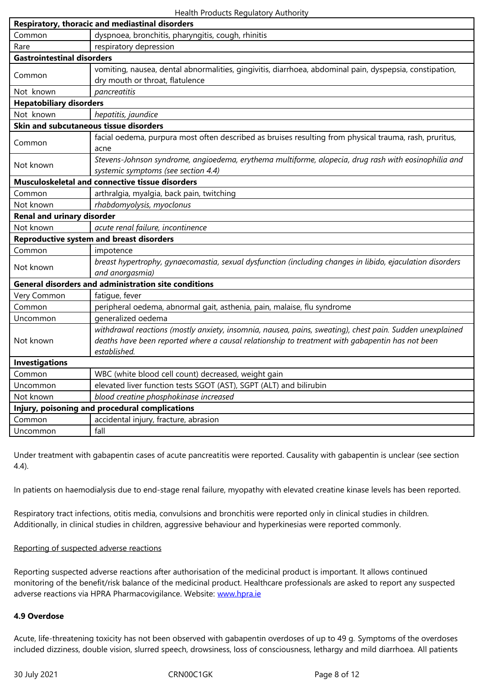| Rare                                                                                                   | respiratory depression                                                                                    |  |  |  |
|--------------------------------------------------------------------------------------------------------|-----------------------------------------------------------------------------------------------------------|--|--|--|
| <b>Gastrointestinal disorders</b>                                                                      |                                                                                                           |  |  |  |
|                                                                                                        | vomiting, nausea, dental abnormalities, gingivitis, diarrhoea, abdominal pain, dyspepsia, constipation,   |  |  |  |
| Common                                                                                                 | dry mouth or throat, flatulence                                                                           |  |  |  |
| Not known                                                                                              | pancreatitis                                                                                              |  |  |  |
| <b>Hepatobiliary disorders</b>                                                                         |                                                                                                           |  |  |  |
| Not known                                                                                              | hepatitis, jaundice                                                                                       |  |  |  |
| Skin and subcutaneous tissue disorders                                                                 |                                                                                                           |  |  |  |
| facial oedema, purpura most often described as bruises resulting from physical trauma, rash, pruritus, |                                                                                                           |  |  |  |
| Common                                                                                                 | acne                                                                                                      |  |  |  |
| Not known                                                                                              | Stevens-Johnson syndrome, angioedema, erythema multiforme, alopecia, drug rash with eosinophilia and      |  |  |  |
|                                                                                                        | systemic symptoms (see section 4.4)                                                                       |  |  |  |
|                                                                                                        | Musculoskeletal and connective tissue disorders                                                           |  |  |  |
| Common                                                                                                 | arthralgia, myalgia, back pain, twitching                                                                 |  |  |  |
| Not known                                                                                              | rhabdomyolysis, myoclonus                                                                                 |  |  |  |
| <b>Renal and urinary disorder</b>                                                                      |                                                                                                           |  |  |  |
| Not known                                                                                              | acute renal failure, incontinence                                                                         |  |  |  |
|                                                                                                        | <b>Reproductive system and breast disorders</b>                                                           |  |  |  |
| Common                                                                                                 | impotence                                                                                                 |  |  |  |
| Not known                                                                                              | breast hypertrophy, gynaecomastia, sexual dysfunction (including changes in libido, ejaculation disorders |  |  |  |
|                                                                                                        | and anorgasmia)                                                                                           |  |  |  |
|                                                                                                        | <b>General disorders and administration site conditions</b>                                               |  |  |  |
| Very Common                                                                                            | fatigue, fever                                                                                            |  |  |  |
| Common                                                                                                 | peripheral oedema, abnormal gait, asthenia, pain, malaise, flu syndrome                                   |  |  |  |
| Uncommon                                                                                               | generalized oedema                                                                                        |  |  |  |
|                                                                                                        | withdrawal reactions (mostly anxiety, insomnia, nausea, pains, sweating), chest pain. Sudden unexplained  |  |  |  |
| Not known                                                                                              | deaths have been reported where a causal relationship to treatment with gabapentin has not been           |  |  |  |
|                                                                                                        | established.                                                                                              |  |  |  |
| <b>Investigations</b>                                                                                  |                                                                                                           |  |  |  |
| Common                                                                                                 | WBC (white blood cell count) decreased, weight gain                                                       |  |  |  |
| Uncommon                                                                                               | elevated liver function tests SGOT (AST), SGPT (ALT) and bilirubin                                        |  |  |  |
| Not known                                                                                              | blood creatine phosphokinase increased                                                                    |  |  |  |
|                                                                                                        | Injury, poisoning and procedural complications                                                            |  |  |  |
| Common                                                                                                 | accidental injury, fracture, abrasion                                                                     |  |  |  |
| Uncommon                                                                                               | fall                                                                                                      |  |  |  |

Under treatment with gabapentin cases of acute pancreatitis were reported. Causality with gabapentin is unclear (see section 4.4).

In patients on haemodialysis due to end-stage renal failure, myopathy with elevated creatine kinase levels has been reported.

Respiratory tract infections, otitis media, convulsions and bronchitis were reported only in clinical studies in children. Additionally, in clinical studies in children, aggressive behaviour and hyperkinesias were reported commonly.

# Reporting of suspected adverse reactions

Reporting suspected adverse reactions after authorisation of the medicinal product is important. It allows continued monitoring of the benefit/risk balance of the medicinal product. Healthcare professionals are asked to report any suspected adverse reactions via HPRA Pharmacovigilance. Website: www.hpra.ie

#### **4.9 Overdose**

Acute, life-threatening toxicity has not been observed wi[th gabapenti](http://www.hpra.ie/)n overdoses of up to 49 g. Symptoms of the overdoses included dizziness, double vision, slurred speech, drowsiness, loss of consciousness, lethargy and mild diarrhoea. All patients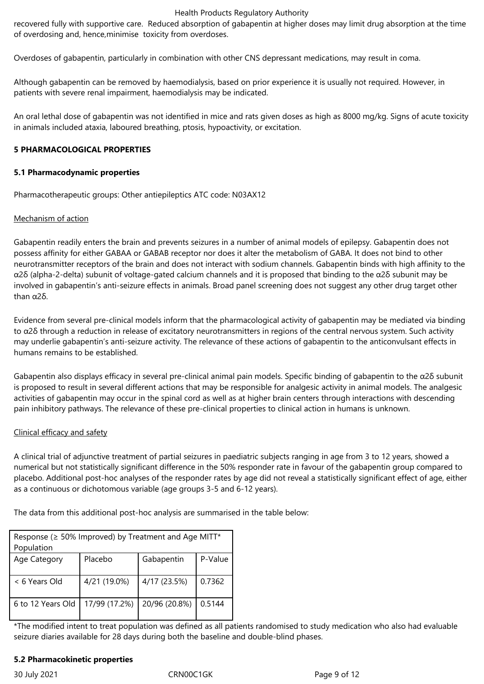recovered fully with supportive care. Reduced absorption of gabapentin at higher doses may limit drug absorption at the time of overdosing and, hence,minimise toxicity from overdoses.

Overdoses of gabapentin, particularly in combination with other CNS depressant medications, may result in coma.

Although gabapentin can be removed by haemodialysis, based on prior experience it is usually not required. However, in patients with severe renal impairment, haemodialysis may be indicated.

An oral lethal dose of gabapentin was not identified in mice and rats given doses as high as 8000 mg/kg. Signs of acute toxicity in animals included ataxia, laboured breathing, ptosis, hypoactivity, or excitation.

#### **5 PHARMACOLOGICAL PROPERTIES**

#### **5.1 Pharmacodynamic properties**

Pharmacotherapeutic groups: Other antiepileptics ATC code: N03AX12

# Mechanism of action

Gabapentin readily enters the brain and prevents seizures in a number of animal models of epilepsy. Gabapentin does not possess affinity for either GABAA or GABAB receptor nor does it alter the metabolism of GABA. It does not bind to other neurotransmitter receptors of the brain and does not interact with sodium channels. Gabapentin binds with high affinity to the α2δ (alpha-2-delta) subunit of voltage-gated calcium channels and it is proposed that binding to the α2δ subunit may be involved in gabapentin's anti-seizure effects in animals. Broad panel screening does not suggest any other drug target other than α2δ.

Evidence from several pre-clinical models inform that the pharmacological activity of gabapentin may be mediated via binding to  $α2δ$  through a reduction in release of excitatory neurotransmitters in regions of the central nervous system. Such activity may underlie gabapentin's anti-seizure activity. The relevance of these actions of gabapentin to the anticonvulsant effects in humans remains to be established.

Gabapentin also displays efficacy in several pre-clinical animal pain models. Specific binding of gabapentin to the α2δ subunit is proposed to result in several different actions that may be responsible for analgesic activity in animal models. The analgesic activities of gabapentin may occur in the spinal cord as well as at higher brain centers through interactions with descending pain inhibitory pathways. The relevance of these pre-clinical properties to clinical action in humans is unknown.

#### Clinical efficacy and safety

A clinical trial of adjunctive treatment of partial seizures in paediatric subjects ranging in age from 3 to 12 years, showed a numerical but not statistically significant difference in the 50% responder rate in favour of the gabapentin group compared to placebo. Additional post-hoc analyses of the responder rates by age did not reveal a statistically significant effect of age, either as a continuous or dichotomous variable (age groups 3-5 and 6-12 years).

The data from this additional post-hoc analysis are summarised in the table below:

| Response (≥ 50% Improved) by Treatment and Age MITT* |               |               |         |  |
|------------------------------------------------------|---------------|---------------|---------|--|
| Population                                           |               |               |         |  |
| Age Category                                         | Placebo       | Gabapentin    | P-Value |  |
| < 6 Years Old                                        | 4/21 (19.0%)  | 4/17 (23.5%)  | 0.7362  |  |
| 6 to 12 Years Old                                    | 17/99 (17.2%) | 20/96 (20.8%) | 0.5144  |  |

\*The modified intent to treat population was defined as all patients randomised to study medication who also had evaluable seizure diaries available for 28 days during both the baseline and double-blind phases.

# **5.2 Pharmacokinetic properties**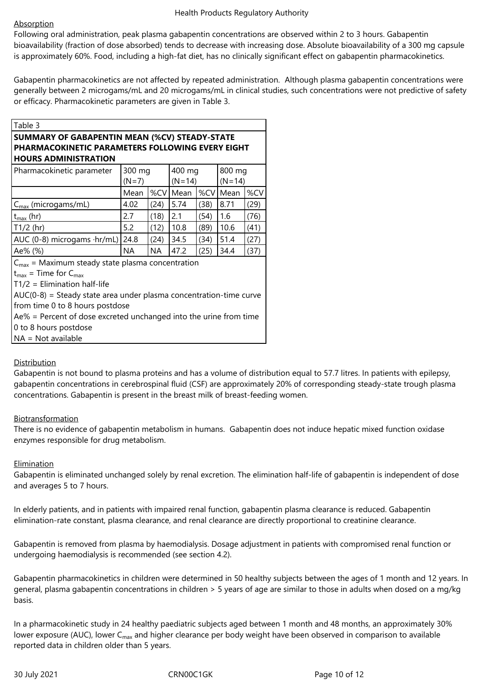# **Absorption**

Following oral administration, peak plasma gabapentin concentrations are observed within 2 to 3 hours. Gabapentin bioavailability (fraction of dose absorbed) tends to decrease with increasing dose. Absolute bioavailability of a 300 mg capsule is approximately 60%. Food, including a high-fat diet, has no clinically significant effect on gabapentin pharmacokinetics.

Gabapentin pharmacokinetics are not affected by repeated administration. Although plasma gabapentin concentrations were generally between 2 microgams/mL and 20 microgams/mL in clinical studies, such concentrations were not predictive of safety or efficacy. Pharmacokinetic parameters are given in Table 3.

| Table 3                                                              |         |      |          |      |            |      |
|----------------------------------------------------------------------|---------|------|----------|------|------------|------|
| <b>SUMMARY OF GABAPENTIN MEAN (%CV) STEADY-STATE</b>                 |         |      |          |      |            |      |
| <b>PHARMACOKINETIC PARAMETERS FOLLOWING EVERY EIGHT</b>              |         |      |          |      |            |      |
| <b>HOURS ADMINISTRATION</b>                                          |         |      |          |      |            |      |
| Pharmacokinetic parameter                                            | 300 mg  |      | 400 mg   |      | 800 mg     |      |
|                                                                      | $(N=7)$ |      | $(N=14)$ |      | $(N=14)$   |      |
|                                                                      | Mean    |      | %CV Mean |      | %CV   Mean | %CV  |
| $C_{\text{max}}$ (microgams/mL)                                      | 4.02    | (24) | 5.74     | (38) | 8.71       | (29) |
| $t_{\text{max}}$ (hr)                                                | 2.7     | (18) | 2.1      | (54) | 1.6        | (76) |
| $T1/2$ (hr)                                                          | 5.2     | (12) | 10.8     | (89) | 10.6       | (41) |
| AUC (0-8) microgams $\cdot$ hr/mL)                                   | 24.8    | (24) | 34.5     | (34) | 51.4       | (27) |
| Ae% (%)                                                              | ΝA      | NA.  | 47.2     | (25) | 34.4       | (37) |
| $C_{\text{max}}$ = Maximum steady state plasma concentration         |         |      |          |      |            |      |
| $t_{\text{max}}$ = Time for $C_{\text{max}}$                         |         |      |          |      |            |      |
| $T1/2$ = Elimination half-life                                       |         |      |          |      |            |      |
| $AUC(0-8)$ = Steady state area under plasma concentration-time curve |         |      |          |      |            |      |
| from time 0 to 8 hours postdose                                      |         |      |          |      |            |      |
| $Ae\%$ = Percent of dose excreted unchanged into the urine from time |         |      |          |      |            |      |
| 0 to 8 hours postdose                                                |         |      |          |      |            |      |
| $NA = Not available$                                                 |         |      |          |      |            |      |

# **Distribution**

Gabapentin is not bound to plasma proteins and has a volume of distribution equal to 57.7 litres. In patients with epilepsy, gabapentin concentrations in cerebrospinal fluid (CSF) are approximately 20% of corresponding steady-state trough plasma concentrations. Gabapentin is present in the breast milk of breast-feeding women.

# Biotransformation

There is no evidence of gabapentin metabolism in humans. Gabapentin does not induce hepatic mixed function oxidase enzymes responsible for drug metabolism.

# **Elimination**

Gabapentin is eliminated unchanged solely by renal excretion. The elimination half-life of gabapentin is independent of dose and averages 5 to 7 hours.

In elderly patients, and in patients with impaired renal function, gabapentin plasma clearance is reduced. Gabapentin elimination-rate constant, plasma clearance, and renal clearance are directly proportional to creatinine clearance.

Gabapentin is removed from plasma by haemodialysis. Dosage adjustment in patients with compromised renal function or undergoing haemodialysis is recommended (see section 4.2).

Gabapentin pharmacokinetics in children were determined in 50 healthy subjects between the ages of 1 month and 12 years. In general, plasma gabapentin concentrations in children > 5 years of age are similar to those in adults when dosed on a mg/kg basis.

In a pharmacokinetic study in 24 healthy paediatric subjects aged between 1 month and 48 months, an approximately 30% lower exposure (AUC), lower C<sub>max</sub> and higher clearance per body weight have been observed in comparison to available reported data in children older than 5 years.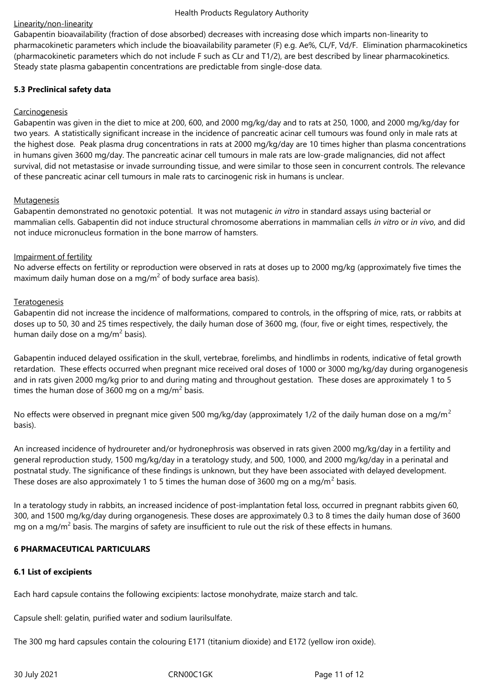# Linearity/non-linearity

Gabapentin bioavailability (fraction of dose absorbed) decreases with increasing dose which imparts non-linearity to pharmacokinetic parameters which include the bioavailability parameter (F) e.g. Ae%, CL/F, Vd/F. Elimination pharmacokinetics (pharmacokinetic parameters which do not include F such as CLr and T1/2), are best described by linear pharmacokinetics. Steady state plasma gabapentin concentrations are predictable from single-dose data.

# **5.3 Preclinical safety data**

# **Carcinogenesis**

Gabapentin was given in the diet to mice at 200, 600, and 2000 mg/kg/day and to rats at 250, 1000, and 2000 mg/kg/day for two years. A statistically significant increase in the incidence of pancreatic acinar cell tumours was found only in male rats at the highest dose. Peak plasma drug concentrations in rats at 2000 mg/kg/day are 10 times higher than plasma concentrations in humans given 3600 mg/day. The pancreatic acinar cell tumours in male rats are low-grade malignancies, did not affect survival, did not metastasise or invade surrounding tissue, and were similar to those seen in concurrent controls. The relevance of these pancreatic acinar cell tumours in male rats to carcinogenic risk in humans is unclear.

#### **Mutagenesis**

Gabapentin demonstrated no genotoxic potential. It was not mutagenic *in vitro* in standard assays using bacterial or mammalian cells. Gabapentin did not induce structural chromosome aberrations in mammalian cells *in vitro* or *in vivo*, and did not induce micronucleus formation in the bone marrow of hamsters.

# Impairment of fertility

No adverse effects on fertility or reproduction were observed in rats at doses up to 2000 mg/kg (approximately five times the maximum daily human dose on a mg/m<sup>2</sup> of body surface area basis).

# **Teratogenesis**

Gabapentin did not increase the incidence of malformations, compared to controls, in the offspring of mice, rats, or rabbits at doses up to 50, 30 and 25 times respectively, the daily human dose of 3600 mg, (four, five or eight times, respectively, the human daily dose on a mg/m<sup>2</sup> basis).

Gabapentin induced delayed ossification in the skull, vertebrae, forelimbs, and hindlimbs in rodents, indicative of fetal growth retardation. These effects occurred when pregnant mice received oral doses of 1000 or 3000 mg/kg/day during organogenesis and in rats given 2000 mg/kg prior to and during mating and throughout gestation. These doses are approximately 1 to 5 times the human dose of 3600 mg on a mg/m<sup>2</sup> basis.

No effects were observed in pregnant mice given 500 mg/kg/day (approximately 1/2 of the daily human dose on a mg/m<sup>2</sup> basis).

An increased incidence of hydroureter and/or hydronephrosis was observed in rats given 2000 mg/kg/day in a fertility and general reproduction study, 1500 mg/kg/day in a teratology study, and 500, 1000, and 2000 mg/kg/day in a perinatal and postnatal study. The significance of these findings is unknown, but they have been associated with delayed development. These doses are also approximately 1 to 5 times the human dose of 3600 mg on a mg/m<sup>2</sup> basis.

In a teratology study in rabbits, an increased incidence of post-implantation fetal loss, occurred in pregnant rabbits given 60, 300, and 1500 mg/kg/day during organogenesis. These doses are approximately 0.3 to 8 times the daily human dose of 3600 mg on a mg/m<sup>2</sup> basis. The margins of safety are insufficient to rule out the risk of these effects in humans.

# **6 PHARMACEUTICAL PARTICULARS**

#### **6.1 List of excipients**

Each hard capsule contains the following excipients: lactose monohydrate, maize starch and talc.

Capsule shell: gelatin, purified water and sodium laurilsulfate.

The 300 mg hard capsules contain the colouring E171 (titanium dioxide) and E172 (yellow iron oxide).